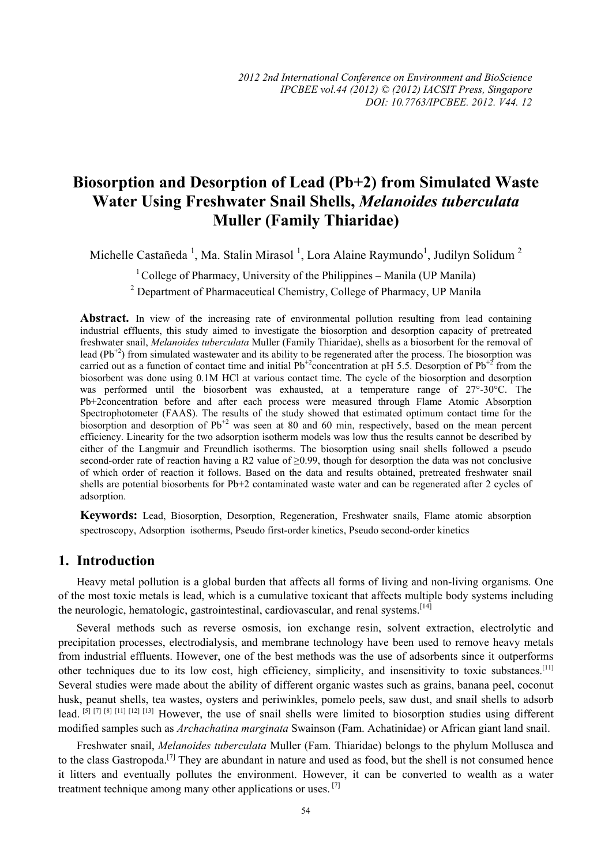# **Biosorption and Desorption of Lead (Pb+2) from Simulated Waste Water Using Freshwater Snail Shells,** *Melanoides tuberculata* **Muller (Family Thiaridae)**

Michelle Castañeda<sup>1</sup>, Ma. Stalin Mirasol<sup>1</sup>, Lora Alaine Raymundo<sup>1</sup>, Judilyn Solidum<sup>2</sup>

<sup>1</sup> College of Pharmacy, University of the Philippines – Manila (UP Manila)

<sup>2</sup> Department of Pharmaceutical Chemistry, College of Pharmacy, UP Manila

Abstract. In view of the increasing rate of environmental pollution resulting from lead containing industrial effluents, this study aimed to investigate the biosorption and desorption capacity of pretreated freshwater snail, *Melanoides tuberculata* Muller (Family Thiaridae), shells as a biosorbent for the removal of lead (Pb<sup>+2</sup>) from simulated wastewater and its ability to be regenerated after the process. The biosorption was carried out as a function of contact time and initial Pb<sup>+2</sup>concentration at pH 5.5. Desorption of Pb<sup>+2</sup> from the biosorbent was done using 0.1M HCl at various contact time. The cycle of the biosorption and desorption was performed until the biosorbent was exhausted, at a temperature range of 27°-30°C. The Pb+2concentration before and after each process were measured through Flame Atomic Absorption Spectrophotometer (FAAS). The results of the study showed that estimated optimum contact time for the biosorption and desorption of  $Pb^{2}$  was seen at 80 and 60 min, respectively, based on the mean percent efficiency. Linearity for the two adsorption isotherm models was low thus the results cannot be described by either of the Langmuir and Freundlich isotherms. The biosorption using snail shells followed a pseudo second-order rate of reaction having a R2 value of ≥0.99, though for desorption the data was not conclusive of which order of reaction it follows. Based on the data and results obtained, pretreated freshwater snail shells are potential biosorbents for Pb+2 contaminated waste water and can be regenerated after 2 cycles of adsorption.

**Keywords:** Lead, Biosorption, Desorption, Regeneration, Freshwater snails, Flame atomic absorption spectroscopy, Adsorption isotherms, Pseudo first-order kinetics, Pseudo second-order kinetics

## **1. Introduction**

Heavy metal pollution is a global burden that affects all forms of living and non-living organisms. One of the most toxic metals is lead, which is a cumulative toxicant that affects multiple body systems including the neurologic, hematologic, gastrointestinal, cardiovascular, and renal systems.<sup>[14]</sup>

Several methods such as reverse osmosis, ion exchange resin, solvent extraction, electrolytic and precipitation processes, electrodialysis, and membrane technology have been used to remove heavy metals from industrial effluents. However, one of the best methods was the use of adsorbents since it outperforms other techniques due to its low cost, high efficiency, simplicity, and insensitivity to toxic substances.[11] Several studies were made about the ability of different organic wastes such as grains, banana peel, coconut husk, peanut shells, tea wastes, oysters and periwinkles, pomelo peels, saw dust, and snail shells to adsorb lead. [5] [7] [8] [11] [12] [13] However, the use of snail shells were limited to biosorption studies using different modified samples such as *Archachatina marginata* Swainson (Fam. Achatinidae) or African giant land snail.

Freshwater snail, *Melanoides tuberculata* Muller (Fam. Thiaridae) belongs to the phylum Mollusca and to the class Gastropoda.[7] They are abundant in nature and used as food, but the shell is not consumed hence it litters and eventually pollutes the environment. However, it can be converted to wealth as a water treatment technique among many other applications or uses.  $^{[7]}$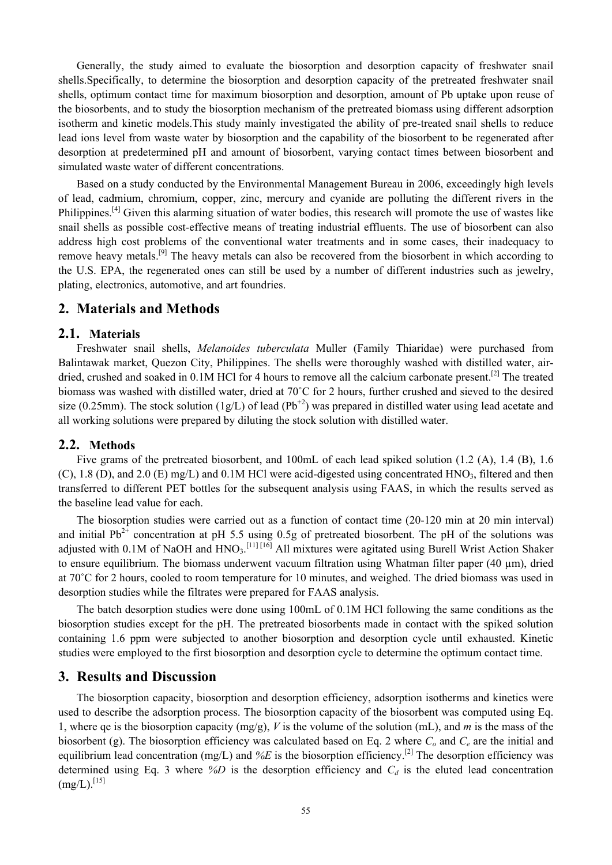Generally, the study aimed to evaluate the biosorption and desorption capacity of freshwater snail shells.Specifically, to determine the biosorption and desorption capacity of the pretreated freshwater snail shells, optimum contact time for maximum biosorption and desorption, amount of Pb uptake upon reuse of the biosorbents, and to study the biosorption mechanism of the pretreated biomass using different adsorption isotherm and kinetic models.This study mainly investigated the ability of pre-treated snail shells to reduce lead ions level from waste water by biosorption and the capability of the biosorbent to be regenerated after desorption at predetermined pH and amount of biosorbent, varying contact times between biosorbent and simulated waste water of different concentrations.

Based on a study conducted by the Environmental Management Bureau in 2006, exceedingly high levels of lead, cadmium, chromium, copper, zinc, mercury and cyanide are polluting the different rivers in the Philippines.<sup>[4]</sup> Given this alarming situation of water bodies, this research will promote the use of wastes like snail shells as possible cost-effective means of treating industrial effluents. The use of biosorbent can also address high cost problems of the conventional water treatments and in some cases, their inadequacy to remove heavy metals.[9] The heavy metals can also be recovered from the biosorbent in which according to the U.S. EPA, the regenerated ones can still be used by a number of different industries such as jewelry, plating, electronics, automotive, and art foundries.

## **2. Materials and Methods**

#### **2.1. Materials**

Freshwater snail shells, *Melanoides tuberculata* Muller (Family Thiaridae) were purchased from Balintawak market, Quezon City, Philippines. The shells were thoroughly washed with distilled water, airdried, crushed and soaked in 0.1M HCl for 4 hours to remove all the calcium carbonate present.<sup>[2]</sup> The treated biomass was washed with distilled water, dried at 70˚C for 2 hours, further crushed and sieved to the desired size (0.25mm). The stock solution (1g/L) of lead (Pb<sup>+2</sup>) was prepared in distilled water using lead acetate and all working solutions were prepared by diluting the stock solution with distilled water.

#### **2.2. Methods**

Five grams of the pretreated biosorbent, and 100mL of each lead spiked solution (1.2 (A), 1.4 (B), 1.6 (C), 1.8 (D), and 2.0 (E) mg/L) and 0.1M HCl were acid-digested using concentrated HNO<sub>3</sub>, filtered and then transferred to different PET bottles for the subsequent analysis using FAAS, in which the results served as the baseline lead value for each.

The biosorption studies were carried out as a function of contact time (20-120 min at 20 min interval) and initial  $Pb^{2+}$  concentration at pH 5.5 using 0.5g of pretreated biosorbent. The pH of the solutions was adjusted with 0.1M of NaOH and HNO<sub>3</sub>.<sup>[11] [16]</sup> All mixtures were agitated using Burell Wrist Action Shaker to ensure equilibrium. The biomass underwent vacuum filtration using Whatman filter paper (40 µm), dried at 70˚C for 2 hours, cooled to room temperature for 10 minutes, and weighed. The dried biomass was used in desorption studies while the filtrates were prepared for FAAS analysis.

The batch desorption studies were done using 100mL of 0.1M HCl following the same conditions as the biosorption studies except for the pH. The pretreated biosorbents made in contact with the spiked solution containing 1.6 ppm were subjected to another biosorption and desorption cycle until exhausted. Kinetic studies were employed to the first biosorption and desorption cycle to determine the optimum contact time.

#### **3. Results and Discussion**

The biosorption capacity, biosorption and desorption efficiency, adsorption isotherms and kinetics were used to describe the adsorption process. The biosorption capacity of the biosorbent was computed using Eq. 1, where qe is the biosorption capacity (mg/g), *V* is the volume of the solution (mL), and *m* is the mass of the biosorbent (g). The biosorption efficiency was calculated based on Eq. 2 where  $C<sub>o</sub>$  and  $C<sub>e</sub>$  are the initial and equilibrium lead concentration (mg/L) and %E is the biosorption efficiency.<sup>[2]</sup> The desorption efficiency was determined using Eq. 3 where  $\mathscr{D}$  is the desorption efficiency and  $C_d$  is the eluted lead concentration  $(mg/L).$ <sup>[15]</sup>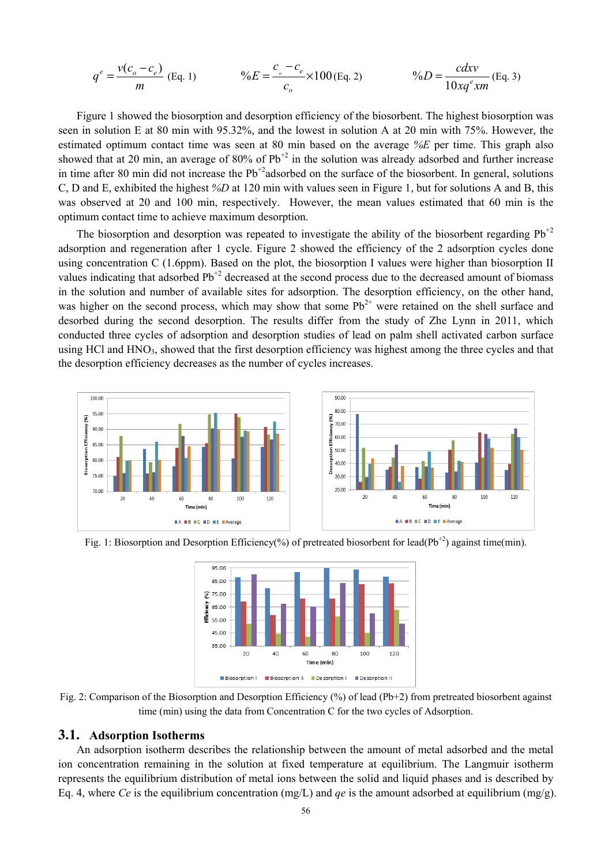$$
q^{e} = \frac{v(c_{o} - c_{e})}{m}
$$
 (Eq. 1) 
$$
\%E = \frac{c_{o} - c_{e}}{c_{o}} \times 100 \text{ (Eq. 2)}
$$
 
$$
\%D = \frac{cdxv}{10xq^{e}xm}
$$
 (Eq. 3)

Figure 1 showed the biosorption and desorption efficiency of the biosorbent. The highest biosorption was seen in solution E at 80 min with 95.32%, and the lowest in solution A at 20 min with 75%. However, the estimated optimum contact time was seen at 80 min based on the average *%E* per time. This graph also showed that at 20 min, an average of 80% of  $Pb^{+2}$  in the solution was already adsorbed and further increase in time after 80 min did not increase the  $Pb^{2}$ adsorbed on the surface of the biosorbent. In general, solutions C, D and E, exhibited the highest *%D* at 120 min with values seen in Figure 1, but for solutions A and B, this was observed at 20 and 100 min, respectively. However, the mean values estimated that 60 min is the optimum contact time to achieve maximum desorption.

The biosorption and desorption was repeated to investigate the ability of the biosorbent regarding  $Pb^{+2}$ adsorption and regeneration after 1 cycle. Figure 2 showed the efficiency of the 2 adsorption cycles done using concentration C (1.6ppm). Based on the plot, the biosorption I values were higher than biosorption II values indicating that adsorbed Pb<sup>+2</sup> decreased at the second process due to the decreased amount of biomass in the solution and number of available sites for adsorption. The desorption efficiency, on the other hand, was higher on the second process, which may show that some  $Pb^{2+}$  were retained on the shell surface and desorbed during the second desorption. The results differ from the study of Zhe Lynn in 2011, which conducted three cycles of adsorption and desorption studies of lead on palm shell activated carbon surface using HCl and HNO<sub>3</sub>, showed that the first desorption efficiency was highest among the three cycles and that the desorption efficiency decreases as the number of cycles increases.



Fig. 1: Biosorption and Desorption Efficiency(%) of pretreated biosorbent for lead( $Pb^{+2}$ ) against time(min).



Fig. 2: Comparison of the Biosorption and Desorption Efficiency (%) of lead (Pb+2) from pretreated biosorbent against time (min) using the data from Concentration C for the two cycles of Adsorption.

#### **3.1. Adsorption Isotherms**

An adsorption isotherm describes the relationship between the amount of metal adsorbed and the metal ion concentration remaining in the solution at fixed temperature at equilibrium. The Langmuir isotherm represents the equilibrium distribution of metal ions between the solid and liquid phases and is described by Eq. 4, where *Ce* is the equilibrium concentration (mg/L) and *qe* is the amount adsorbed at equilibrium (mg/g).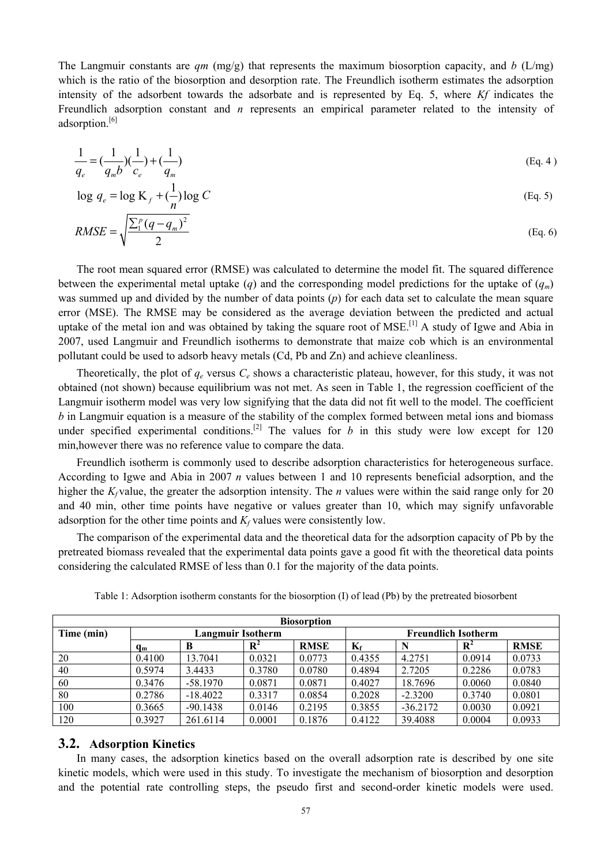The Langmuir constants are  $qm \text{ (mg/g)}$  that represents the maximum biosorption capacity, and *b* (L/mg) which is the ratio of the biosorption and desorption rate. The Freundlich isotherm estimates the adsorption intensity of the adsorbent towards the adsorbate and is represented by Eq. 5, where *Kf* indicates the Freundlich adsorption constant and *n* represents an empirical parameter related to the intensity of adsorption.[6]

$$
\frac{1}{q_e} = \left(\frac{1}{q_m b}\right)\left(\frac{1}{c_e}\right) + \left(\frac{1}{q_m}\right) \tag{Eq. 4}
$$

$$
\log q_e = \log \frac{K_f + \left(\frac{1}{n}\right) \log C}{n}
$$
\n(Eq. 5)

$$
RMSE = \sqrt{\frac{\sum_{1}^{p}(q - q_{m})^{2}}{2}}
$$
 (Eq. 6)

The root mean squared error (RMSE) was calculated to determine the model fit. The squared difference between the experimental metal uptake  $(q)$  and the corresponding model predictions for the uptake of  $(q_m)$ was summed up and divided by the number of data points (*p*) for each data set to calculate the mean square error (MSE). The RMSE may be considered as the average deviation between the predicted and actual uptake of the metal ion and was obtained by taking the square root of MSE.<sup>[1]</sup> A study of Igwe and Abia in 2007, used Langmuir and Freundlich isotherms to demonstrate that maize cob which is an environmental pollutant could be used to adsorb heavy metals (Cd, Pb and Zn) and achieve cleanliness.

Theoretically, the plot of  $q_e$  versus  $C_e$  shows a characteristic plateau, however, for this study, it was not obtained (not shown) because equilibrium was not met. As seen in Table 1, the regression coefficient of the Langmuir isotherm model was very low signifying that the data did not fit well to the model. The coefficient *b* in Langmuir equation is a measure of the stability of the complex formed between metal ions and biomass under specified experimental conditions.<sup>[2]</sup> The values for *b* in this study were low except for 120 min,however there was no reference value to compare the data.

Freundlich isotherm is commonly used to describe adsorption characteristics for heterogeneous surface. According to Igwe and Abia in 2007 *n* values between 1 and 10 represents beneficial adsorption, and the higher the  $K_f$  value, the greater the adsorption intensity. The *n* values were within the said range only for 20 and 40 min, other time points have negative or values greater than 10, which may signify unfavorable adsorption for the other time points and  $K_f$  values were consistently low.

The comparison of the experimental data and the theoretical data for the adsorption capacity of Pb by the pretreated biomass revealed that the experimental data points gave a good fit with the theoretical data points considering the calculated RMSE of less than 0.1 for the majority of the data points.

| <b>Biosorption</b> |                          |            |                |                            |             |            |                |             |  |  |
|--------------------|--------------------------|------------|----------------|----------------------------|-------------|------------|----------------|-------------|--|--|
| Time (min)         | <b>Langmuir Isotherm</b> |            |                | <b>Freundlich Isotherm</b> |             |            |                |             |  |  |
|                    | $q_{m}$                  | B          | $\mathbf{R}^2$ | <b>RMSE</b>                | $K_{\rm f}$ |            | $\mathbf{R}^2$ | <b>RMSE</b> |  |  |
| 20                 | 0.4100                   | 13.7041    | 0.0321         | 0.0773                     | 0.4355      | 4.2751     | 0.0914         | 0.0733      |  |  |
| 40                 | 0.5974                   | 3.4433     | 0.3780         | 0.0780                     | 0.4894      | 2.7205     | 0.2286         | 0.0783      |  |  |
| 60                 | 0.3476                   | $-58.1970$ | 0.0871         | 0.0871                     | 0.4027      | 18.7696    | 0.0060         | 0.0840      |  |  |
| 80                 | 0.2786                   | $-18.4022$ | 0.3317         | 0.0854                     | 0.2028      | $-2.3200$  | 0.3740         | 0.0801      |  |  |
| 100                | 0.3665                   | $-90.1438$ | 0.0146         | 0.2195                     | 0.3855      | $-36.2172$ | 0.0030         | 0.0921      |  |  |
| 120                | 0.3927                   | 261.6114   | 0.0001         | 0.1876                     | 0.4122      | 39.4088    | 0.0004         | 0.0933      |  |  |

Table 1: Adsorption isotherm constants for the biosorption (I) of lead (Pb) by the pretreated biosorbent

#### **3.2. Adsorption Kinetics**

In many cases, the adsorption kinetics based on the overall adsorption rate is described by one site kinetic models, which were used in this study. To investigate the mechanism of biosorption and desorption and the potential rate controlling steps, the pseudo first and second-order kinetic models were used.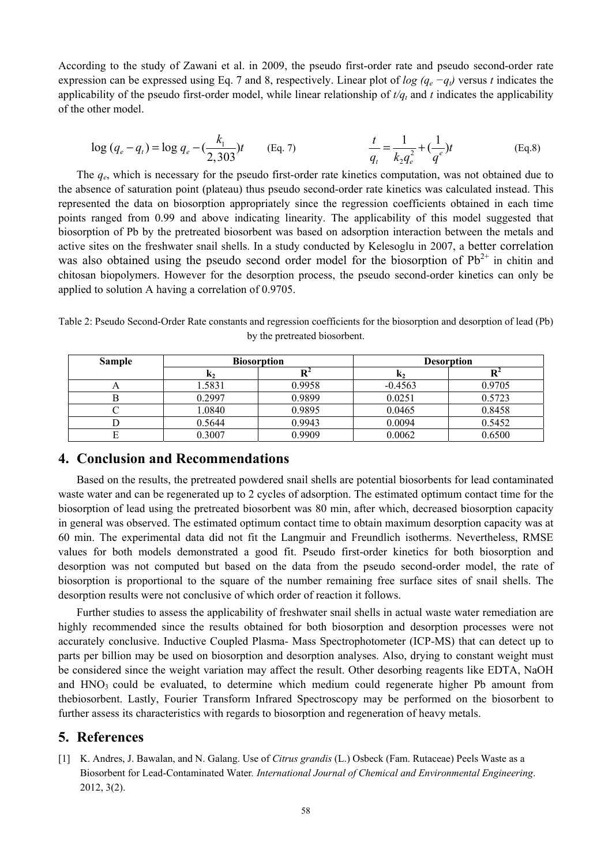According to the study of Zawani et al. in 2009, the pseudo first-order rate and pseudo second-order rate expression can be expressed using Eq. 7 and 8, respectively. Linear plot of *log (qe −qt)* versus *t* indicates the applicability of the pseudo first-order model, while linear relationship of  $t/q_t$  and  $t$  indicates the applicability of the other model.

$$
\log (q_e - q_t) = \log q_e - \left(\frac{k_1}{2,303}\right)t \qquad \text{(Eq. 7)} \qquad \qquad \frac{t}{q_t} = \frac{1}{k_2 q_e^2} + \left(\frac{1}{q_e^e}\right)t \qquad \qquad \text{(Eq.8)}
$$

The *qe*, which is necessary for the pseudo first-order rate kinetics computation, was not obtained due to the absence of saturation point (plateau) thus pseudo second-order rate kinetics was calculated instead. This represented the data on biosorption appropriately since the regression coefficients obtained in each time points ranged from 0.99 and above indicating linearity. The applicability of this model suggested that biosorption of Pb by the pretreated biosorbent was based on adsorption interaction between the metals and active sites on the freshwater snail shells. In a study conducted by Kelesoglu in 2007, a better correlation was also obtained using the pseudo second order model for the biosorption of  $Pb^{2+}$  in chitin and chitosan biopolymers. However for the desorption process, the pseudo second-order kinetics can only be applied to solution A having a correlation of 0.9705.

Table 2: Pseudo Second-Order Rate constants and regression coefficients for the biosorption and desorption of lead (Pb) by the pretreated biosorbent.

| <b>Sample</b> |                | <b>Biosorption</b> | <b>Desorption</b> |        |  |  |
|---------------|----------------|--------------------|-------------------|--------|--|--|
|               | K <sub>2</sub> |                    | K <sub>2</sub>    |        |  |  |
|               | 1.5831         | 0.9958             | $-0.4563$         | 0.9705 |  |  |
|               | 0.2997         | 0.9899             | 0.0251            | 0.5723 |  |  |
|               | 1.0840         | 0.9895             | 0.0465            | 0.8458 |  |  |
|               | 0.5644         | 0.9943             | 0.0094            | 0.5452 |  |  |
|               | 0.3007         | 0.9909             | 0.0062            | 0.6500 |  |  |

### **4. Conclusion and Recommendations**

Based on the results, the pretreated powdered snail shells are potential biosorbents for lead contaminated waste water and can be regenerated up to 2 cycles of adsorption. The estimated optimum contact time for the biosorption of lead using the pretreated biosorbent was 80 min, after which, decreased biosorption capacity in general was observed. The estimated optimum contact time to obtain maximum desorption capacity was at 60 min. The experimental data did not fit the Langmuir and Freundlich isotherms. Nevertheless, RMSE values for both models demonstrated a good fit. Pseudo first-order kinetics for both biosorption and desorption was not computed but based on the data from the pseudo second-order model, the rate of biosorption is proportional to the square of the number remaining free surface sites of snail shells. The desorption results were not conclusive of which order of reaction it follows.

Further studies to assess the applicability of freshwater snail shells in actual waste water remediation are highly recommended since the results obtained for both biosorption and desorption processes were not accurately conclusive. Inductive Coupled Plasma- Mass Spectrophotometer (ICP-MS) that can detect up to parts per billion may be used on biosorption and desorption analyses. Also, drying to constant weight must be considered since the weight variation may affect the result. Other desorbing reagents like EDTA, NaOH and  $HNO<sub>3</sub>$  could be evaluated, to determine which medium could regenerate higher Pb amount from thebiosorbent. Lastly, Fourier Transform Infrared Spectroscopy may be performed on the biosorbent to further assess its characteristics with regards to biosorption and regeneration of heavy metals.

## **5. References**

[1] K. Andres, J. Bawalan, and N. Galang. Use of *Citrus grandis* (L.) Osbeck (Fam. Rutaceae) Peels Waste as a Biosorbent for Lead-Contaminated Water*. International Journal of Chemical and Environmental Engineering*. 2012, 3(2).